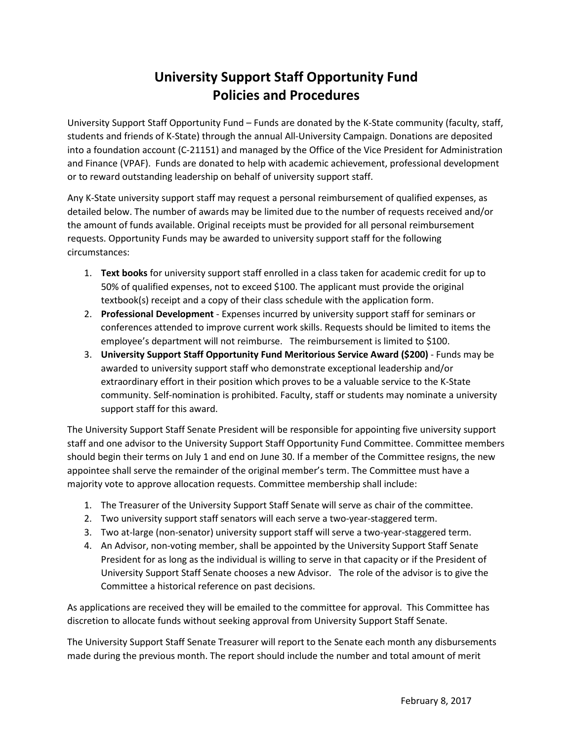## **University Support Staff Opportunity Fund Policies and Procedures**

University Support Staff Opportunity Fund – Funds are donated by the K‐State community (faculty, staff, students and friends of K‐State) through the annual All‐University Campaign. Donations are deposited into a foundation account (C‐21151) and managed by the Office of the Vice President for Administration and Finance (VPAF). Funds are donated to help with academic achievement, professional development or to reward outstanding leadership on behalf of university support staff.

Any K‐State university support staff may request a personal reimbursement of qualified expenses, as detailed below. The number of awards may be limited due to the number of requests received and/or the amount of funds available. Original receipts must be provided for all personal reimbursement requests. Opportunity Funds may be awarded to university support staff for the following circumstances:

- 1. **Text books** for university support staff enrolled in a class taken for academic credit for up to 50% of qualified expenses, not to exceed \$100. The applicant must provide the original textbook(s) receipt and a copy of their class schedule with the application form.
- 2. **Professional Development** ‐ Expenses incurred by university support staff for seminars or conferences attended to improve current work skills. Requests should be limited to items the employee's department will not reimburse. The reimbursement is limited to \$100.
- 3. **University Support Staff Opportunity Fund Meritorious Service Award (\$200)** ‐ Funds may be awarded to university support staff who demonstrate exceptional leadership and/or extraordinary effort in their position which proves to be a valuable service to the K‐State community. Self-nomination is prohibited. Faculty, staff or students may nominate a university support staff for this award.

The University Support Staff Senate President will be responsible for appointing five university support staff and one advisor to the University Support Staff Opportunity Fund Committee. Committee members should begin their terms on July 1 and end on June 30. If a member of the Committee resigns, the new appointee shall serve the remainder of the original member's term. The Committee must have a majority vote to approve allocation requests. Committee membership shall include:

- 1. The Treasurer of the University Support Staff Senate will serve as chair of the committee.
- 2. Two university support staff senators will each serve a two-year-staggered term.
- 3. Two at-large (non-senator) university support staff will serve a two-year-staggered term.
- 4. An Advisor, non‐voting member, shall be appointed by the University Support Staff Senate President for as long as the individual is willing to serve in that capacity or if the President of University Support Staff Senate chooses a new Advisor. The role of the advisor is to give the Committee a historical reference on past decisions.

As applications are received they will be emailed to the committee for approval. This Committee has discretion to allocate funds without seeking approval from University Support Staff Senate.

The University Support Staff Senate Treasurer will report to the Senate each month any disbursements made during the previous month. The report should include the number and total amount of merit